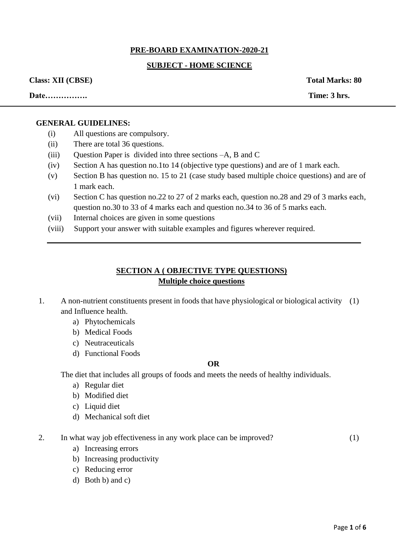# **PRE-BOARD EXAMINATION-2020-21**

# **SUBJECT - HOME SCIENCE**

#### **Class: XII (CBSE) Total Marks: 80**

**Date……………. Time: 3 hrs.** 

#### **GENERAL GUIDELINES:**

- (i) All questions are compulsory.
- (ii) There are total 36 questions.
- (iii) Question Paper is divided into three sections –A, B and C
- (iv) Section A has question no.1to 14 (objective type questions) and are of 1 mark each.
- (v) Section B has question no. 15 to 21 (case study based multiple choice questions) and are of 1 mark each.
- (vi) Section C has question no.22 to 27 of 2 marks each, question no.28 and 29 of 3 marks each, question no.30 to 33 of 4 marks each and question no.34 to 36 of 5 marks each.
- (vii) Internal choices are given in some questions
- (viii) Support your answer with suitable examples and figures wherever required.

## **SECTION A ( OBJECTIVE TYPE QUESTIONS) Multiple choice questions**

- 1. A non-nutrient constituents present in foods that have physiological or biological activity (1) and Influence health.
	- a) Phytochemicals
	- b) Medical Foods
	- c) Neutraceuticals
	- d) Functional Foods

#### **OR**

The diet that includes all groups of foods and meets the needs of healthy individuals.

- a) Regular diet
- b) Modified diet
- c) Liquid diet
- d) Mechanical soft diet
- 2. In what way job effectiveness in any work place can be improved?
- (1)

- a) Increasing errors
- b) Increasing productivity
- c) Reducing error
- d) Both b) and c)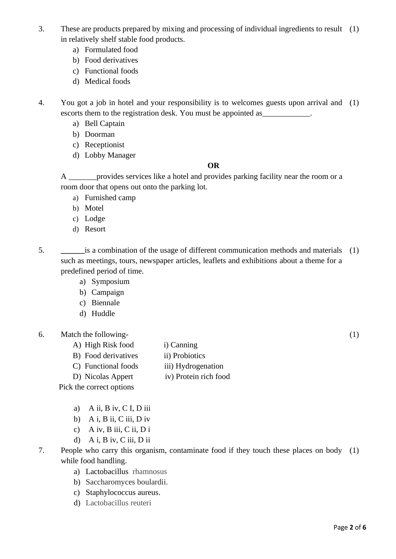- 3. These are products prepared by mixing and processing of individual ingredients to result (1) in relatively shelf stable food products.
	- a) Formulated food
	- b) Food derivatives
	- c) Functional foods
	- d) Medical foods

4. You got a job in hotel and your responsibility is to welcomes guests upon arrival and (1) escorts them to the registration desk. You must be appointed as

- a) Bell Captain
- b) Doorman
- c) Receptionist
- d) Lobby Manager

## **OR**

A *\_\_\_\_\_\_\_*provides services like a hotel and provides parking facility near the room or a room door that opens out onto the parking lot.

- a) Furnished camp
- b) Motel
- c) Lodge
- d) Resort
- 5. **\_\_\_\_\_\_**is a combination of the usage of different communication methods and materials (1) such as meetings, tours, newspaper articles, leaflets and exhibitions about a theme for a predefined period of time.
	- a) Symposium
	- b) Campaign
	- c) Biennale
	- d) Huddle
- 6. Match the following-
	- A) High Risk food i) Canning
	- B) Food derivatives ii) Probiotics
	- C) Functional foods iii) Hydrogenation
	- D) Nicolas Appert iv) Protein rich food

Pick the correct options

- a) A ii, B iv, C I, D iii
- b) A i, B ii, C iii, D iv
- c) A iv, B iii, C ii, D i
- d) A i, B iv, C iii, D ii
- 7. People who carry this organism, contaminate food if they touch these places on body (1)while food handling.
	- a) Lactobacillus rhamnosus
	- b) Saccharomyces boulardii.
	- c) Staphylococcus aureus.
	- d) Lactobacillus reuteri

(1)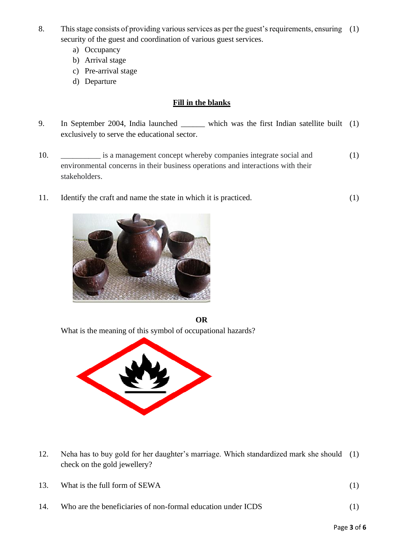- 8. This stage consists of providing various services as per the guest's requirements, ensuring (1) security of the guest and coordination of various guest services.
	- a) Occupancy
	- b) Arrival stage
	- c) Pre-arrival stage
	- d) Departure

# **Fill in the blanks**

- 9. In September 2004, India launched \_\_\_\_\_\_ which was the first Indian satellite built (1) exclusively to serve the educational sector.
- 10. \_\_\_\_\_\_\_\_\_\_ is a management concept whereby companies integrate social and environmental concerns in their business operations and interactions with their stakeholders. (1)
- 11. Identify the craft and name the state in which it is practiced. (1)



**OR**

What is the meaning of this symbol of occupational hazards?



12. Neha has to buy gold for her daughter's marriage. Which standardized mark she should (1) check on the gold jewellery?

|  | What is the full form of SEWA |  |  |
|--|-------------------------------|--|--|
|--|-------------------------------|--|--|

14. Who are the beneficiaries of non-formal education under ICDS (1)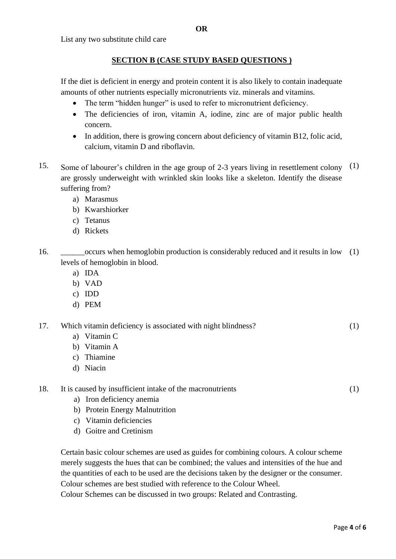List any two substitute child care

## **SECTION B (CASE STUDY BASED QUESTIONS )**

If the diet is deficient in energy and protein content it is also likely to contain inadequate amounts of other nutrients especially micronutrients viz. minerals and vitamins.

- The term "hidden hunger" is used to refer to micronutrient deficiency.
- The deficiencies of iron, vitamin A, iodine, zinc are of major public health concern.
- In addition, there is growing concern about deficiency of vitamin B12, folic acid, calcium, vitamin D and riboflavin.
- 15. Some of labourer's children in the age group of 2-3 years living in resettlement colony  $(1)$ are grossly underweight with wrinkled skin looks like a skeleton. Identify the disease suffering from?
	- a) Marasmus
	- b) Kwarshiorker
	- c) Tetanus
	- d) Rickets
- 16. \_\_\_\_\_\_occurs when hemoglobin production is considerably reduced and it results in low (1) levels of hemoglobin in blood.
	- a) IDA
	- b) VAD
	- c) IDD
	- d) PEM

17. Which vitamin deficiency is associated with night blindness? (1)

- a) Vitamin C
- b) Vitamin A
- c) Thiamine
- d) Niacin
- 18. It is caused by insufficient intake of the macronutrients
	- a) Iron deficiency anemia
	- b) Protein Energy Malnutrition
	- c) Vitamin deficiencies
	- d) Goitre and Cretinism

Certain basic colour schemes are used as guides for combining colours. A colour scheme merely suggests the hues that can be combined; the values and intensities of the hue and the quantities of each to be used are the decisions taken by the designer or the consumer. Colour schemes are best studied with reference to the Colour Wheel.

Colour Schemes can be discussed in two groups: Related and Contrasting.

(1)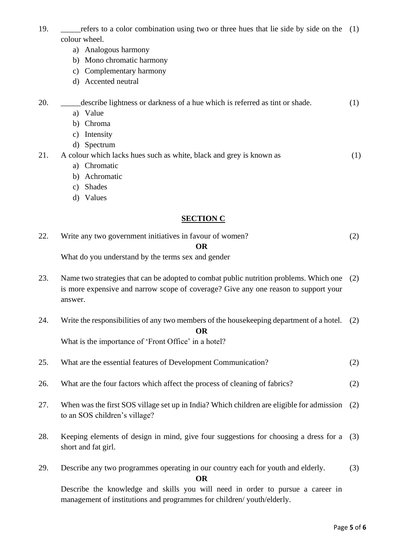- 19. \_\_\_\_\_refers to a color combination using two or three hues that lie side by side on the (1) colour wheel.
	- a) Analogous harmony
	- b) Mono chromatic harmony
	- c) Complementary harmony
	- d) Accented neutral

20. \_\_\_\_\_describe lightness or darkness of a hue which is referred as tint or shade. a) Value b) Chroma (1)

- c) Intensity
- d) Spectrum

21. A colour which lacks hues such as white, black and grey is known as (1)

- a) Chromatic
- b) Achromatic
- c) Shades
- d) Values

### **SECTION C**

| 22. | Write any two government initiatives in favour of women? |  |
|-----|----------------------------------------------------------|--|
|     |                                                          |  |

What do you understand by the terms sex and gender

- 23. Name two strategies that can be adopted to combat public nutrition problems. Which one (2) is more expensive and narrow scope of coverage? Give any one reason to support your answer.
- 24. Write the responsibilities of any two members of the housekeeping department of a hotel. (2) **OR**

What is the importance of 'Front Office' in a hotel?

| 25.<br>What are the essential features of Development Communication? | (2) |
|----------------------------------------------------------------------|-----|
|----------------------------------------------------------------------|-----|

- 26. What are the four factors which affect the process of cleaning of fabrics? (2)
- 27. When was the first SOS village set up in India? Which children are eligible for admission to an SOS children's village? (2)
- 28. Keeping elements of design in mind, give four suggestions for choosing a dress for a (3) short and fat girl.
- 29. Describe any two programmes operating in our country each for youth and elderly. (3)

**OR** 

Describe the knowledge and skills you will need in order to pursue a career in management of institutions and programmes for children/ youth/elderly.